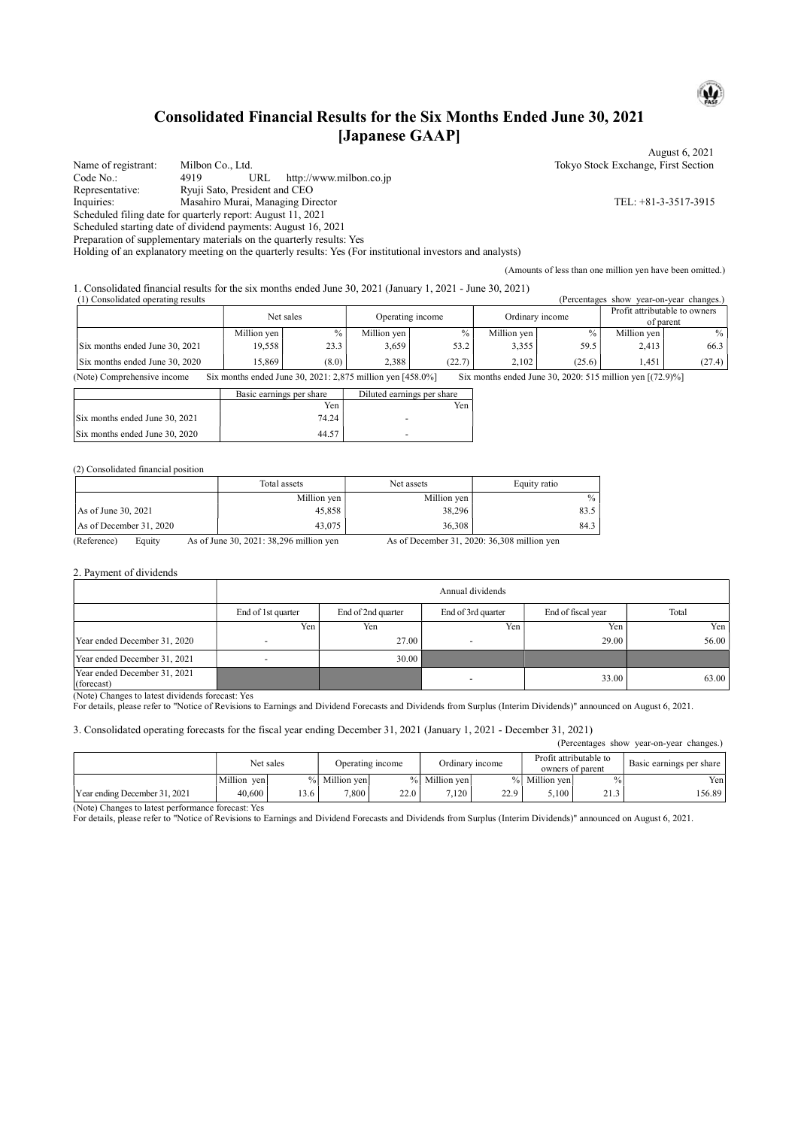# Consolidated Financial Results for the Six Months Ended June 30, 2021 [Japanese GAAP]

August 6, 2021 Name of registrant: Milbon Co., Ltd. Tokyo Stock Exchange, First Section<br>Code No.: 4919 URL http://www.milbon.co.jp Code No.: 4919 URL http://www.milbon.co.jp Representative: Ryuji Sato, President and CEO Inquiries: Masahiro Murai, Managing Director TEL: +81-3-3517-3915 Scheduled filing date for quarterly report: August 11, 2021 Scheduled starting date of dividend payments: August 16, 2021

Preparation of supplementary materials on the quarterly results: Yes

Holding of an explanatory meeting on the quarterly results: Yes (For institutional investors and analysts)

(Amounts of less than one million yen have been omitted.)

1. Consolidated financial results for the six months ended June 30, 2021 (January 1, 2021 - June 30, 2021)

| Profit attributable to owners |
|-------------------------------|
| of parent                     |
| $\%$                          |
| 66.3                          |
| (27.4)                        |
|                               |

(Note) Comprehensive income Six months ended June 30, 2021: 2,875 million yen [458.0%] Six months ended June 30, 2020: 515 million yen [(72.9)%]

|                                | Basic earnings per share | Diluted earnings per share |
|--------------------------------|--------------------------|----------------------------|
|                                | Yen                      | Yen                        |
| Six months ended June 30, 2021 | 74.24                    |                            |
| Six months ended June 30, 2020 | 44.57                    |                            |

#### (2) Consolidated financial position

|                         | Total assets | Net assets  | Equity ratio |
|-------------------------|--------------|-------------|--------------|
|                         | Million yen  | Million yen | $\%$         |
| As of June 30, 2021     | 45,858       | 38,296      | 83.5         |
| As of December 31, 2020 | 43,075       | 36,308      | 84.3         |

(Reference) Equity As of June 30, 2021: 38,296 million yen As of December 31, 2020: 36,308 million yen

#### 2. Payment of dividends

|                                            | Annual dividends   |                    |                    |                    |       |  |  |
|--------------------------------------------|--------------------|--------------------|--------------------|--------------------|-------|--|--|
|                                            | End of 1st quarter | End of 2nd quarter | End of 3rd quarter | End of fiscal year | Total |  |  |
|                                            | Yen,               | Yen                | Yen                | Yen,               | Yen   |  |  |
| Year ended December 31, 2020               |                    | 27.00              |                    | 29.00              | 56.00 |  |  |
| Year ended December 31, 2021               |                    | 30.00              |                    |                    |       |  |  |
| Year ended December 31, 2021<br>(forecast) |                    |                    |                    | 33.00              | 63.00 |  |  |

(Note) Changes to latest dividends forecast: Yes

For details, please refer to "Notice of Revisions to Earnings and Dividend Forecasts and Dividends from Surplus (Interim Dividends)" announced on August 6, 2021.

#### 3. Consolidated operating forecasts for the fiscal year ending December 31, 2021 (January 1, 2021 - December 31, 2021)

| (Percentages show year-on-year changes.) |             |               |                                     |      |               |      |                        |                  |                                 |
|------------------------------------------|-------------|---------------|-------------------------------------|------|---------------|------|------------------------|------------------|---------------------------------|
|                                          |             | Net sales     | Ordinary income<br>Operating income |      |               |      | Profit attributable to | owners of parent | <b>Basic earnings per share</b> |
|                                          | Million ven | $\frac{0}{0}$ | Million ven                         |      | % Million ven |      | % Million ven          | $\frac{0}{0}$    | Yen.                            |
| Year ending December 31, 2021            | 40,600      | 13.6          | 7.800                               | 22.0 | 7.120         | 22.9 | 5.100                  | 21.3             | 156.89                          |

(Note) Changes to latest performance forecast: Yes

For details, please refer to "Notice of Revisions to Earnings and Dividend Forecasts and Dividends from Surplus (Interim Dividends)" announced on August 6, 2021.

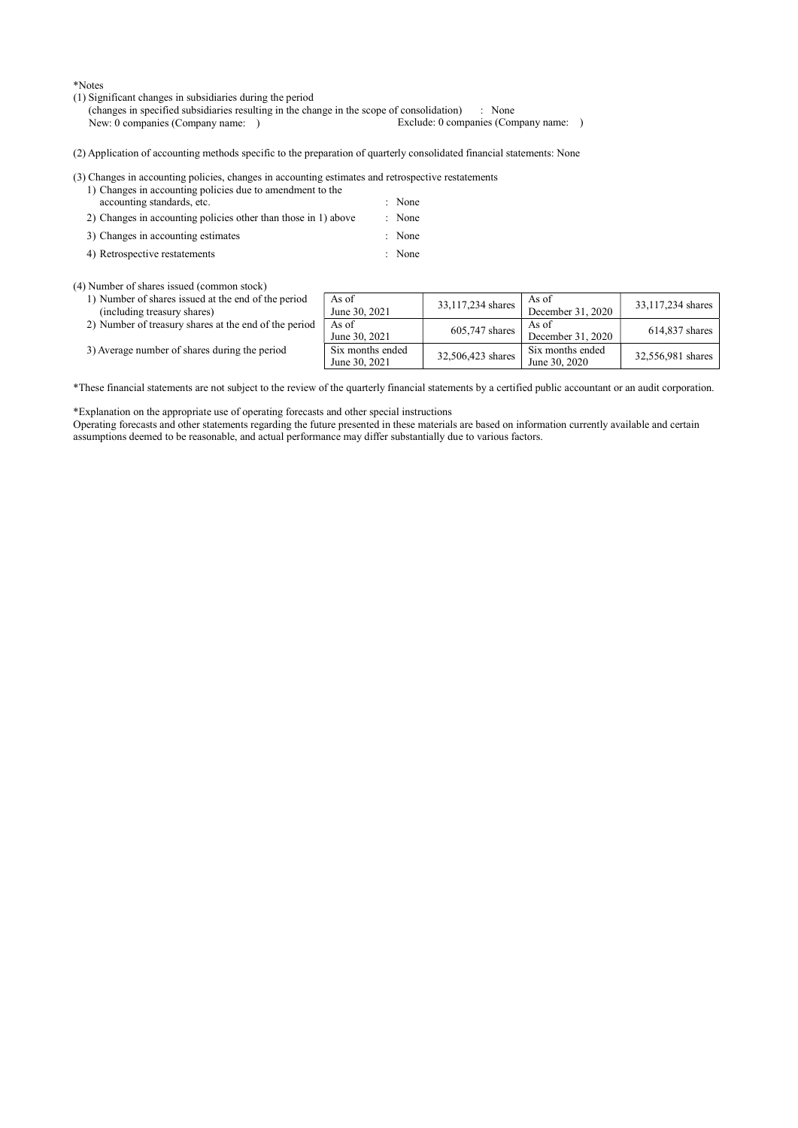\*Notes

(1) Significant changes in subsidiaries during the period

(changes in specified subsidiaries resulting in the change in the scope of consolidation) : None New: 0 companies (Company name: ) Exclude: 0 companies (Company name: )

(2) Application of accounting methods specific to the preparation of quarterly consolidated financial statements: None

(3) Changes in accounting policies, changes in accounting estimates and retrospective restatements

- 1) Changes in accounting policies due to amendment to the accounting standards, etc.  $\blacksquare$  : None
- 2) Changes in accounting policies other than those in 1) above : None
- 3) Changes in accounting estimates : None
- 4) Retrospective restatements : None

(4) Number of shares issued (common stock)

- 1) Number of shares issued at the end of the period (including treasury shares)
- 2) Number of treasury shares at the end of the period
- 3) Average number of shares during the period

|    | As of<br>June 30, 2021            | 33,117,234 shares | As of<br>December 31, 2020        | 33,117,234 shares |
|----|-----------------------------------|-------------------|-----------------------------------|-------------------|
| эd | As of<br>June 30, 2021            | 605,747 shares    | As of<br>December 31, 2020        | 614,837 shares    |
|    | Six months ended<br>June 30, 2021 | 32,506,423 shares | Six months ended<br>June 30, 2020 | 32,556,981 shares |

\*These financial statements are not subject to the review of the quarterly financial statements by a certified public accountant or an audit corporation.

\*Explanation on the appropriate use of operating forecasts and other special instructions

Operating forecasts and other statements regarding the future presented in these materials are based on information currently available and certain assumptions deemed to be reasonable, and actual performance may differ substantially due to various factors.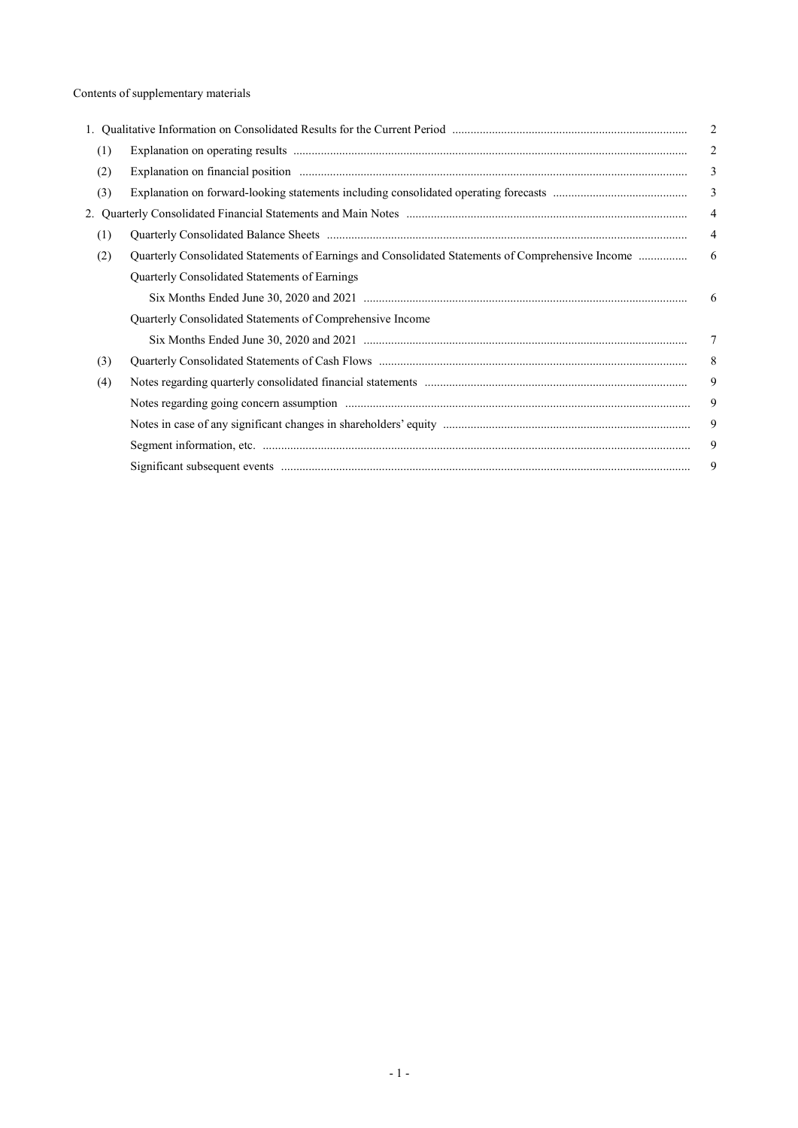|     |                                                                                                   | $\overline{2}$ |
|-----|---------------------------------------------------------------------------------------------------|----------------|
| (1) |                                                                                                   | 2              |
| (2) |                                                                                                   | 3              |
| (3) |                                                                                                   | $\overline{3}$ |
|     |                                                                                                   | $\overline{4}$ |
| (1) |                                                                                                   | 4              |
| (2) | Quarterly Consolidated Statements of Earnings and Consolidated Statements of Comprehensive Income | 6              |
|     | Quarterly Consolidated Statements of Earnings                                                     |                |
|     |                                                                                                   | 6              |
|     | Quarterly Consolidated Statements of Comprehensive Income                                         |                |
|     |                                                                                                   | 7              |
| (3) |                                                                                                   | 8              |
| (4) |                                                                                                   | 9              |
|     |                                                                                                   | 9              |
|     |                                                                                                   | 9              |
|     |                                                                                                   | 9              |
|     |                                                                                                   | 9              |
|     |                                                                                                   |                |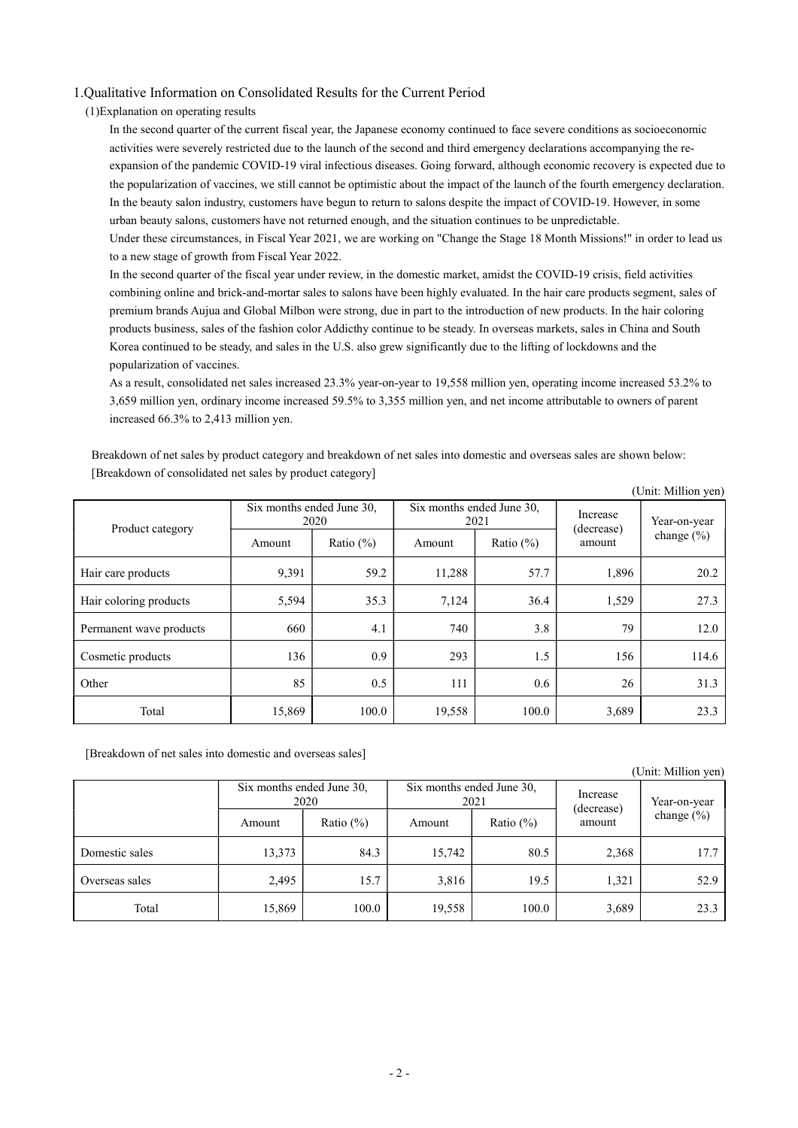### 1.Qualitative Information on Consolidated Results for the Current Period

(1)Explanation on operating results

In the second quarter of the current fiscal year, the Japanese economy continued to face severe conditions as socioeconomic activities were severely restricted due to the launch of the second and third emergency declarations accompanying the reexpansion of the pandemic COVID-19 viral infectious diseases. Going forward, although economic recovery is expected due to the popularization of vaccines, we still cannot be optimistic about the impact of the launch of the fourth emergency declaration. In the beauty salon industry, customers have begun to return to salons despite the impact of COVID-19. However, in some urban beauty salons, customers have not returned enough, and the situation continues to be unpredictable. Under these circumstances, in Fiscal Year 2021, we are working on "Change the Stage 18 Month Missions!" in order to lead us to a new stage of growth from Fiscal Year 2022.

In the second quarter of the fiscal year under review, in the domestic market, amidst the COVID-19 crisis, field activities combining online and brick-and-mortar sales to salons have been highly evaluated. In the hair care products segment, sales of premium brands Aujua and Global Milbon were strong, due in part to the introduction of new products. In the hair coloring products business, sales of the fashion color Addicthy continue to be steady. In overseas markets, sales in China and South Korea continued to be steady, and sales in the U.S. also grew significantly due to the lifting of lockdowns and the popularization of vaccines.

As a result, consolidated net sales increased 23.3% year-on-year to 19,558 million yen, operating income increased 53.2% to 3,659 million yen, ordinary income increased 59.5% to 3,355 million yen, and net income attributable to owners of parent increased 66.3% to 2,413 million yen.

Breakdown of net sales by product category and breakdown of net sales into domestic and overseas sales are shown below: [Breakdown of consolidated net sales by product category]

|                         |        |                                   |        |                                   |                        | (Unit: Million yen) |
|-------------------------|--------|-----------------------------------|--------|-----------------------------------|------------------------|---------------------|
| Product category        |        | Six months ended June 30,<br>2020 |        | Six months ended June 30,<br>2021 | Increase<br>(decrease) | Year-on-year        |
|                         | Amount | Ratio $(\%)$                      | Amount | Ratio $(\%)$                      | amount                 | change $(\% )$      |
| Hair care products      | 9.391  | 59.2                              | 11,288 | 57.7                              | 1,896                  | 20.2                |
| Hair coloring products  | 5,594  | 35.3                              | 7,124  | 36.4                              | 1,529                  | 27.3                |
| Permanent wave products | 660    | 4.1                               | 740    | 3.8                               | 79                     | 12.0                |
| Cosmetic products       | 136    | 0.9                               | 293    | 1.5                               | 156                    | 114.6               |
| Other                   | 85     | 0.5                               | 111    | 0.6                               | 26                     | 31.3                |
| Total                   | 15,869 | 100.0                             | 19,558 | 100.0                             | 3,689                  | 23.3                |

[Breakdown of net sales into domestic and overseas sales]

#### (Unit: Million yen)

|                |        | Six months ended June 30,<br>2020 |        | Six months ended June 30,<br>2021 | Increase<br>(decrease) | Year-on-year   |
|----------------|--------|-----------------------------------|--------|-----------------------------------|------------------------|----------------|
|                | Amount | Ratio $(\%)$                      | Amount | Ratio $(\% )$                     | amount                 | change $(\% )$ |
| Domestic sales | 13,373 | 84.3                              | 15,742 | 80.5                              | 2,368                  | 17.7           |
| Overseas sales | 2,495  | 15.7                              | 3,816  | 19.5                              | 1,321                  | 52.9           |
| Total          | 15,869 | 100.0                             | 19,558 | 100.0                             | 3,689                  | 23.3           |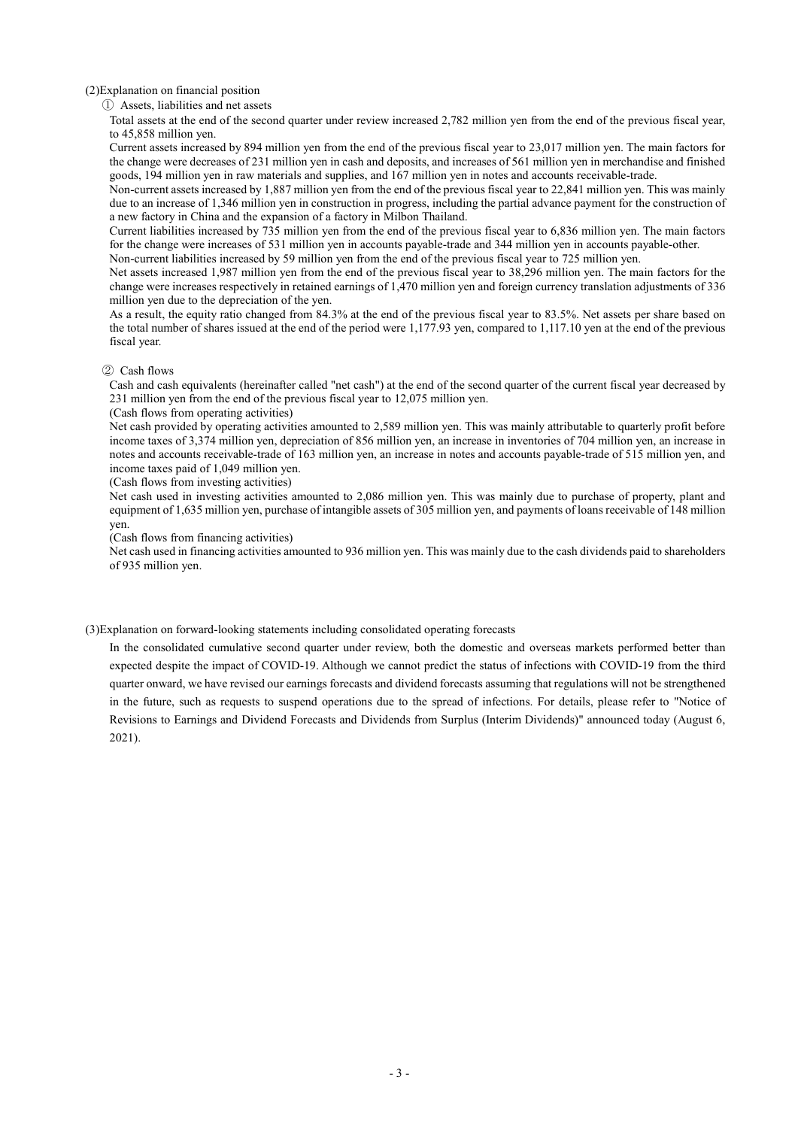(2)Explanation on financial position

① Assets, liabilities and net assets

Total assets at the end of the second quarter under review increased 2,782 million yen from the end of the previous fiscal year, to 45,858 million yen.

Current assets increased by 894 million yen from the end of the previous fiscal year to 23,017 million yen. The main factors for the change were decreases of 231 million yen in cash and deposits, and increases of 561 million yen in merchandise and finished goods, 194 million yen in raw materials and supplies, and 167 million yen in notes and accounts receivable-trade.

Non-current assets increased by 1,887 million yen from the end of the previous fiscal year to 22,841 million yen. This was mainly due to an increase of 1,346 million yen in construction in progress, including the partial advance payment for the construction of a new factory in China and the expansion of a factory in Milbon Thailand.

Current liabilities increased by 735 million yen from the end of the previous fiscal year to 6,836 million yen. The main factors for the change were increases of 531 million yen in accounts payable-trade and 344 million yen in accounts payable-other.

Non-current liabilities increased by 59 million yen from the end of the previous fiscal year to 725 million yen.

Net assets increased 1,987 million yen from the end of the previous fiscal year to 38,296 million yen. The main factors for the change were increases respectively in retained earnings of 1,470 million yen and foreign currency translation adjustments of 336 million yen due to the depreciation of the yen.

As a result, the equity ratio changed from 84.3% at the end of the previous fiscal year to 83.5%. Net assets per share based on the total number of shares issued at the end of the period were 1,177.93 yen, compared to 1,117.10 yen at the end of the previous fiscal year.

#### ② Cash flows

Cash and cash equivalents (hereinafter called "net cash") at the end of the second quarter of the current fiscal year decreased by 231 million yen from the end of the previous fiscal year to 12,075 million yen.

#### (Cash flows from operating activities)

Net cash provided by operating activities amounted to 2,589 million yen. This was mainly attributable to quarterly profit before income taxes of 3,374 million yen, depreciation of 856 million yen, an increase in inventories of 704 million yen, an increase in notes and accounts receivable-trade of 163 million yen, an increase in notes and accounts payable-trade of 515 million yen, and income taxes paid of 1,049 million yen.

(Cash flows from investing activities)

Net cash used in investing activities amounted to 2,086 million yen. This was mainly due to purchase of property, plant and equipment of 1,635 million yen, purchase of intangible assets of 305 million yen, and payments of loans receivable of 148 million yen.

(Cash flows from financing activities)

Net cash used in financing activities amounted to 936 million yen. This was mainly due to the cash dividends paid to shareholders of 935 million yen.

(3)Explanation on forward-looking statements including consolidated operating forecasts

In the consolidated cumulative second quarter under review, both the domestic and overseas markets performed better than expected despite the impact of COVID-19. Although we cannot predict the status of infections with COVID-19 from the third quarter onward, we have revised our earnings forecasts and dividend forecasts assuming that regulations will not be strengthened in the future, such as requests to suspend operations due to the spread of infections. For details, please refer to "Notice of Revisions to Earnings and Dividend Forecasts and Dividends from Surplus (Interim Dividends)" announced today (August 6, 2021).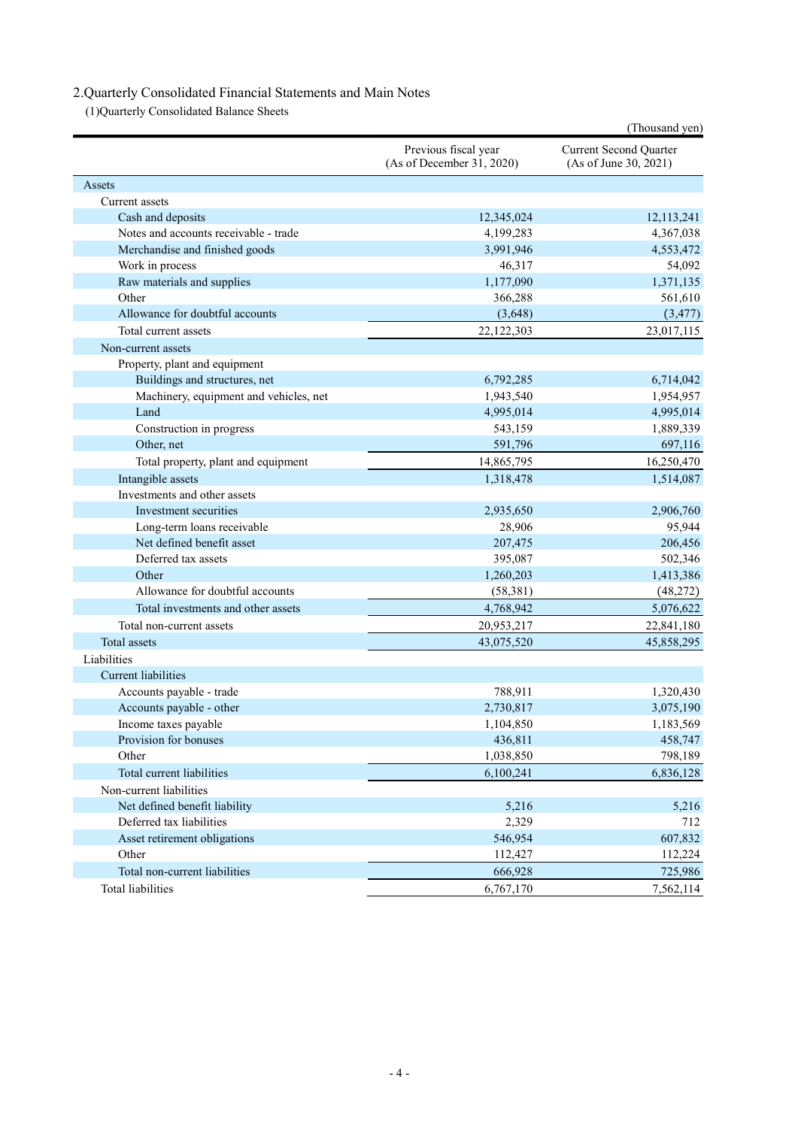# 2.Quarterly Consolidated Financial Statements and Main Notes

(1)Quarterly Consolidated Balance Sheets

|                                        |                                                   | (Thousand yen)                                         |
|----------------------------------------|---------------------------------------------------|--------------------------------------------------------|
|                                        | Previous fiscal year<br>(As of December 31, 2020) | <b>Current Second Quarter</b><br>(As of June 30, 2021) |
| Assets                                 |                                                   |                                                        |
| Current assets                         |                                                   |                                                        |
| Cash and deposits                      | 12,345,024                                        | 12,113,241                                             |
| Notes and accounts receivable - trade  | 4,199,283                                         | 4,367,038                                              |
| Merchandise and finished goods         | 3,991,946                                         | 4,553,472                                              |
| Work in process                        | 46,317                                            | 54,092                                                 |
| Raw materials and supplies             | 1,177,090                                         | 1,371,135                                              |
| Other                                  | 366,288                                           | 561,610                                                |
| Allowance for doubtful accounts        | (3,648)                                           | (3, 477)                                               |
| Total current assets                   | 22,122,303                                        | 23,017,115                                             |
| Non-current assets                     |                                                   |                                                        |
| Property, plant and equipment          |                                                   |                                                        |
| Buildings and structures, net          | 6,792,285                                         | 6,714,042                                              |
| Machinery, equipment and vehicles, net | 1,943,540                                         | 1,954,957                                              |
| Land                                   | 4,995,014                                         | 4,995,014                                              |
| Construction in progress               | 543,159                                           | 1,889,339                                              |
| Other, net                             | 591,796                                           | 697,116                                                |
| Total property, plant and equipment    | 14,865,795                                        | 16,250,470                                             |
| Intangible assets                      | 1,318,478                                         | 1,514,087                                              |
| Investments and other assets           |                                                   |                                                        |
| Investment securities                  | 2,935,650                                         | 2,906,760                                              |
| Long-term loans receivable             | 28,906                                            | 95,944                                                 |
| Net defined benefit asset              | 207,475                                           | 206,456                                                |
| Deferred tax assets                    | 395,087                                           | 502,346                                                |
| Other                                  | 1,260,203                                         | 1,413,386                                              |
| Allowance for doubtful accounts        | (58, 381)                                         | (48,272)                                               |
| Total investments and other assets     | 4,768,942                                         | 5,076,622                                              |
| Total non-current assets               | 20,953,217                                        | 22,841,180                                             |
| Total assets                           | 43,075,520                                        | 45,858,295                                             |
| Liabilities                            |                                                   |                                                        |
| <b>Current</b> liabilities             |                                                   |                                                        |
| Accounts payable - trade               | 788,911                                           | 1,320,430                                              |
| Accounts payable - other               | 2,730,817                                         | 3,075,190                                              |
| Income taxes payable                   | 1,104,850                                         | 1,183,569                                              |
| Provision for bonuses                  | 436,811                                           | 458,747                                                |
| Other                                  | 1,038,850                                         | 798,189                                                |
| Total current liabilities              | 6,100,241                                         | 6,836,128                                              |
| Non-current liabilities                |                                                   |                                                        |
| Net defined benefit liability          | 5,216                                             | 5,216                                                  |
| Deferred tax liabilities               | 2,329                                             | 712                                                    |
| Asset retirement obligations           | 546,954                                           | 607,832                                                |
| Other                                  | 112,427                                           | 112,224                                                |
| Total non-current liabilities          | 666,928                                           | 725,986                                                |
| <b>Total liabilities</b>               | 6,767,170                                         | 7,562,114                                              |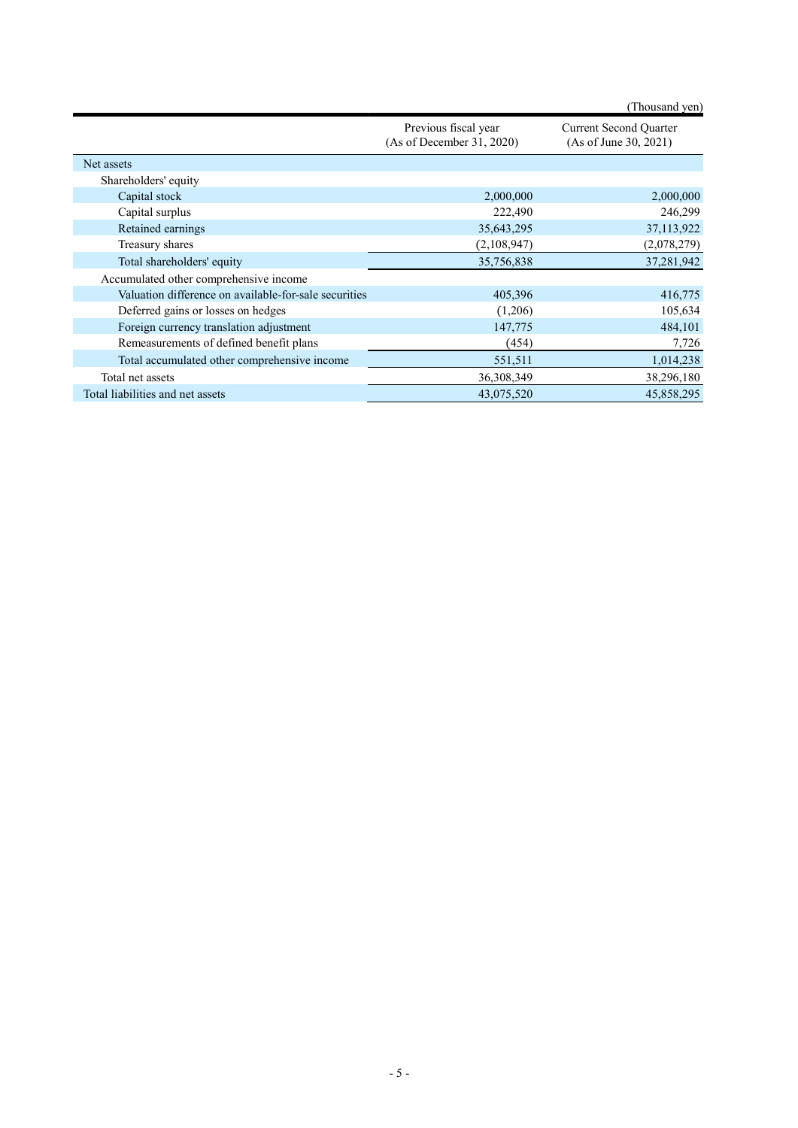|                                                       |                                                   | (Thousand yen)                                         |
|-------------------------------------------------------|---------------------------------------------------|--------------------------------------------------------|
|                                                       | Previous fiscal year<br>(As of December 31, 2020) | <b>Current Second Quarter</b><br>(As of June 30, 2021) |
| Net assets                                            |                                                   |                                                        |
| Shareholders' equity                                  |                                                   |                                                        |
| Capital stock                                         | 2,000,000                                         | 2,000,000                                              |
| Capital surplus                                       | 222,490                                           | 246,299                                                |
| Retained earnings                                     | 35,643,295                                        | 37,113,922                                             |
| Treasury shares                                       | (2,108,947)                                       | (2,078,279)                                            |
| Total shareholders' equity                            | 35,756,838                                        | 37,281,942                                             |
| Accumulated other comprehensive income                |                                                   |                                                        |
| Valuation difference on available-for-sale securities | 405,396                                           | 416,775                                                |
| Deferred gains or losses on hedges                    | (1,206)                                           | 105,634                                                |
| Foreign currency translation adjustment               | 147,775                                           | 484,101                                                |
| Remeasurements of defined benefit plans               | (454)                                             | 7,726                                                  |
| Total accumulated other comprehensive income          | 551,511                                           | 1,014,238                                              |
| Total net assets                                      | 36,308,349                                        | 38,296,180                                             |
| Total liabilities and net assets                      | 43,075,520                                        | 45,858,295                                             |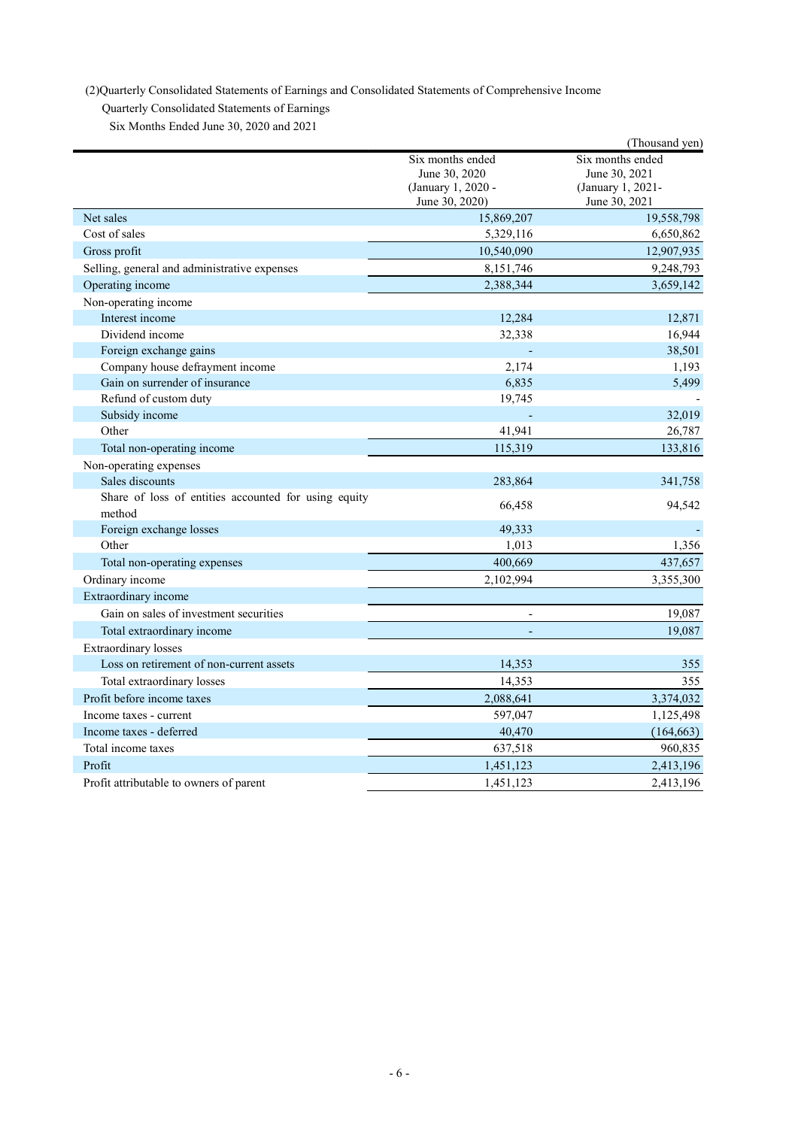(2)Quarterly Consolidated Statements of Earnings and Consolidated Statements of Comprehensive Income

Quarterly Consolidated Statements of Earnings

Six Months Ended June 30, 2020 and 2021

|                                                                |                                                                           | (Thousand yen)                                                          |
|----------------------------------------------------------------|---------------------------------------------------------------------------|-------------------------------------------------------------------------|
|                                                                | Six months ended<br>June 30, 2020<br>(January 1, 2020 -<br>June 30, 2020) | Six months ended<br>June 30, 2021<br>(January 1, 2021-<br>June 30, 2021 |
| Net sales                                                      | 15,869,207                                                                | 19,558,798                                                              |
| Cost of sales                                                  | 5,329,116                                                                 | 6,650,862                                                               |
| Gross profit                                                   | 10,540,090                                                                | 12,907,935                                                              |
| Selling, general and administrative expenses                   | 8,151,746                                                                 | 9,248,793                                                               |
| Operating income                                               | 2,388,344                                                                 | 3,659,142                                                               |
| Non-operating income                                           |                                                                           |                                                                         |
| Interest income                                                | 12,284                                                                    | 12,871                                                                  |
| Dividend income                                                | 32,338                                                                    | 16,944                                                                  |
| Foreign exchange gains                                         |                                                                           | 38,501                                                                  |
| Company house defrayment income                                | 2,174                                                                     | 1,193                                                                   |
| Gain on surrender of insurance                                 | 6,835                                                                     | 5,499                                                                   |
| Refund of custom duty                                          | 19,745                                                                    |                                                                         |
| Subsidy income                                                 |                                                                           | 32,019                                                                  |
| Other                                                          | 41,941                                                                    | 26,787                                                                  |
| Total non-operating income                                     | 115,319                                                                   | 133,816                                                                 |
| Non-operating expenses                                         |                                                                           |                                                                         |
| Sales discounts                                                | 283,864                                                                   | 341,758                                                                 |
| Share of loss of entities accounted for using equity<br>method | 66,458                                                                    | 94,542                                                                  |
| Foreign exchange losses                                        | 49,333                                                                    |                                                                         |
| Other                                                          | 1,013                                                                     | 1,356                                                                   |
| Total non-operating expenses                                   | 400,669                                                                   | 437,657                                                                 |
| Ordinary income                                                | 2,102,994                                                                 | 3,355,300                                                               |
| Extraordinary income                                           |                                                                           |                                                                         |
| Gain on sales of investment securities                         |                                                                           | 19,087                                                                  |
| Total extraordinary income                                     | $\Box$                                                                    | 19,087                                                                  |
| <b>Extraordinary</b> losses                                    |                                                                           |                                                                         |
| Loss on retirement of non-current assets                       | 14,353                                                                    | 355                                                                     |
| Total extraordinary losses                                     | 14,353                                                                    | 355                                                                     |
| Profit before income taxes                                     | 2,088,641                                                                 | 3,374,032                                                               |
| Income taxes - current                                         | 597,047                                                                   | 1,125,498                                                               |
| Income taxes - deferred                                        | 40,470                                                                    | (164, 663)                                                              |
| Total income taxes                                             | 637,518                                                                   | 960,835                                                                 |
| Profit                                                         | 1,451,123                                                                 | 2,413,196                                                               |
| Profit attributable to owners of parent                        | 1,451,123                                                                 | 2,413,196                                                               |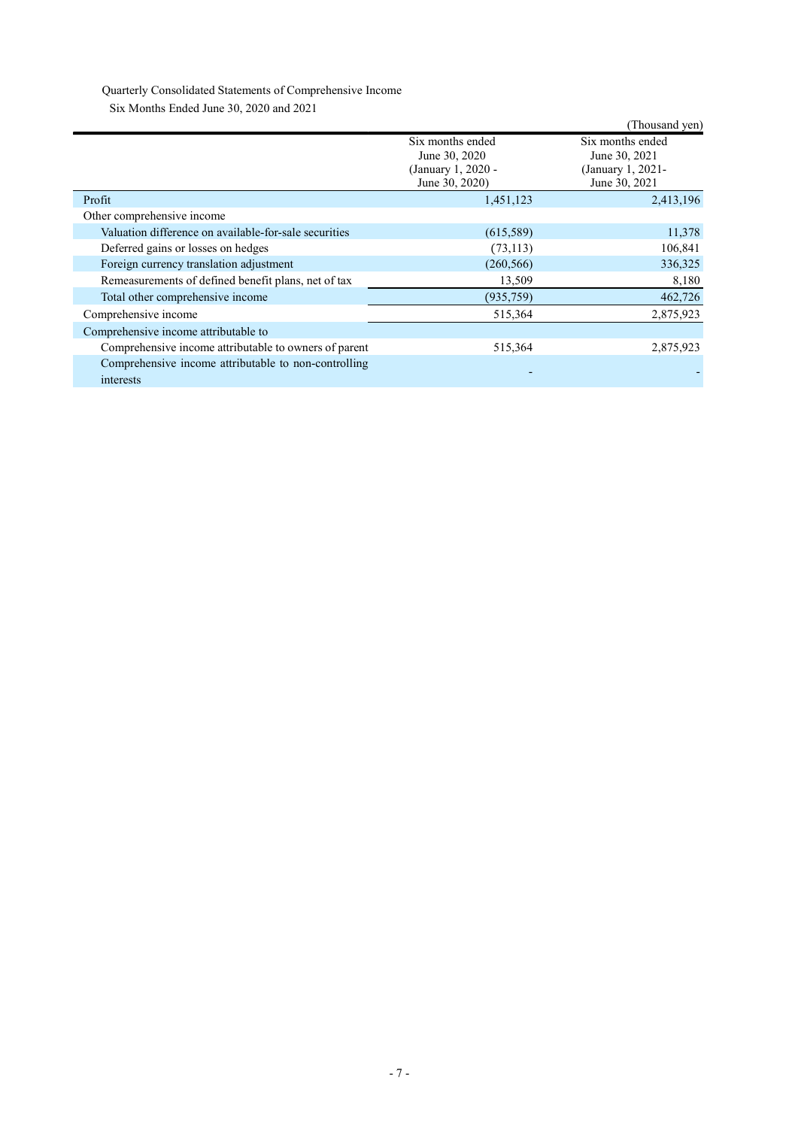# Quarterly Consolidated Statements of Comprehensive Income

Six Months Ended June 30, 2020 and 2021

| $50.8$ Months Engels sunce 50, 2020 and 2021                      |                                                                           |                                                                         |
|-------------------------------------------------------------------|---------------------------------------------------------------------------|-------------------------------------------------------------------------|
|                                                                   |                                                                           | (Thousand yen)                                                          |
|                                                                   | Six months ended<br>June 30, 2020<br>(January 1, 2020 -<br>June 30, 2020) | Six months ended<br>June 30, 2021<br>(January 1, 2021-<br>June 30, 2021 |
| Profit                                                            | 1,451,123                                                                 | 2,413,196                                                               |
| Other comprehensive income                                        |                                                                           |                                                                         |
| Valuation difference on available-for-sale securities             | (615,589)                                                                 | 11,378                                                                  |
| Deferred gains or losses on hedges                                | (73, 113)                                                                 | 106,841                                                                 |
| Foreign currency translation adjustment                           | (260, 566)                                                                | 336,325                                                                 |
| Remeasurements of defined benefit plans, net of tax               | 13,509                                                                    | 8,180                                                                   |
| Total other comprehensive income                                  | (935,759)                                                                 | 462,726                                                                 |
| Comprehensive income                                              | 515,364                                                                   | 2,875,923                                                               |
| Comprehensive income attributable to                              |                                                                           |                                                                         |
| Comprehensive income attributable to owners of parent             | 515,364                                                                   | 2,875,923                                                               |
| Comprehensive income attributable to non-controlling<br>interests |                                                                           |                                                                         |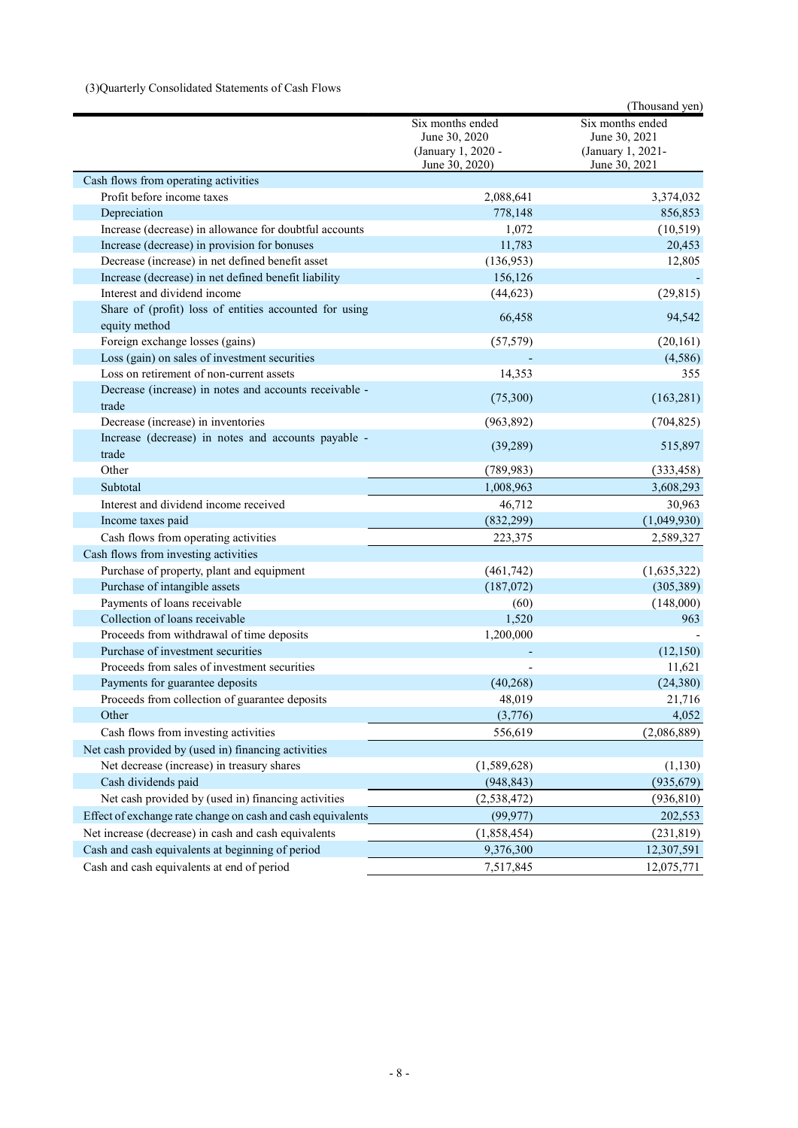## (3)Quarterly Consolidated Statements of Cash Flows

|                                                                         |                                                                           | (Thousand yen)                                                          |
|-------------------------------------------------------------------------|---------------------------------------------------------------------------|-------------------------------------------------------------------------|
|                                                                         | Six months ended<br>June 30, 2020<br>(January 1, 2020 -<br>June 30, 2020) | Six months ended<br>June 30, 2021<br>(January 1, 2021-<br>June 30, 2021 |
| Cash flows from operating activities                                    |                                                                           |                                                                         |
| Profit before income taxes                                              | 2,088,641                                                                 | 3,374,032                                                               |
| Depreciation                                                            | 778,148                                                                   | 856,853                                                                 |
| Increase (decrease) in allowance for doubtful accounts                  | 1,072                                                                     | (10,519)                                                                |
| Increase (decrease) in provision for bonuses                            | 11,783                                                                    | 20,453                                                                  |
| Decrease (increase) in net defined benefit asset                        | (136,953)                                                                 | 12,805                                                                  |
| Increase (decrease) in net defined benefit liability                    | 156,126                                                                   |                                                                         |
| Interest and dividend income                                            | (44, 623)                                                                 | (29, 815)                                                               |
| Share of (profit) loss of entities accounted for using<br>equity method | 66,458                                                                    | 94,542                                                                  |
| Foreign exchange losses (gains)                                         | (57, 579)                                                                 | (20, 161)                                                               |
| Loss (gain) on sales of investment securities                           |                                                                           | (4,586)                                                                 |
| Loss on retirement of non-current assets                                | 14,353                                                                    | 355                                                                     |
| Decrease (increase) in notes and accounts receivable -<br>trade         | (75,300)                                                                  | (163, 281)                                                              |
| Decrease (increase) in inventories                                      | (963, 892)                                                                | (704, 825)                                                              |
| Increase (decrease) in notes and accounts payable -<br>trade            | (39, 289)                                                                 | 515,897                                                                 |
| Other                                                                   | (789, 983)                                                                | (333, 458)                                                              |
| Subtotal                                                                | 1,008,963                                                                 | 3,608,293                                                               |
| Interest and dividend income received                                   | 46,712                                                                    | 30,963                                                                  |
| Income taxes paid                                                       | (832, 299)                                                                | (1,049,930)                                                             |
| Cash flows from operating activities                                    | 223,375                                                                   | 2,589,327                                                               |
| Cash flows from investing activities                                    |                                                                           |                                                                         |
| Purchase of property, plant and equipment                               | (461,742)                                                                 | (1,635,322)                                                             |
| Purchase of intangible assets                                           | (187,072)                                                                 | (305, 389)                                                              |
| Payments of loans receivable                                            | (60)                                                                      | (148,000)                                                               |
| Collection of loans receivable                                          | 1,520                                                                     | 963                                                                     |
| Proceeds from withdrawal of time deposits                               | 1,200,000                                                                 |                                                                         |
| Purchase of investment securities                                       |                                                                           | (12, 150)                                                               |
| Proceeds from sales of investment securities                            |                                                                           | 11,621                                                                  |
| Payments for guarantee deposits                                         | (40, 268)                                                                 | (24, 380)                                                               |
| Proceeds from collection of guarantee deposits                          | 48,019                                                                    | 21,716                                                                  |
| Other                                                                   | (3,776)                                                                   | 4,052                                                                   |
| Cash flows from investing activities                                    | 556,619                                                                   | (2,086,889)                                                             |
| Net cash provided by (used in) financing activities                     |                                                                           |                                                                         |
| Net decrease (increase) in treasury shares                              | (1,589,628)                                                               | (1, 130)                                                                |
| Cash dividends paid                                                     | (948, 843)                                                                | (935, 679)                                                              |
| Net cash provided by (used in) financing activities                     | (2, 538, 472)                                                             | (936, 810)                                                              |
| Effect of exchange rate change on cash and cash equivalents             | (99, 977)                                                                 | 202,553                                                                 |
| Net increase (decrease) in cash and cash equivalents                    | (1,858,454)                                                               | (231, 819)                                                              |
| Cash and cash equivalents at beginning of period                        | 9,376,300                                                                 | 12,307,591                                                              |
| Cash and cash equivalents at end of period                              | 7,517,845                                                                 | 12,075,771                                                              |